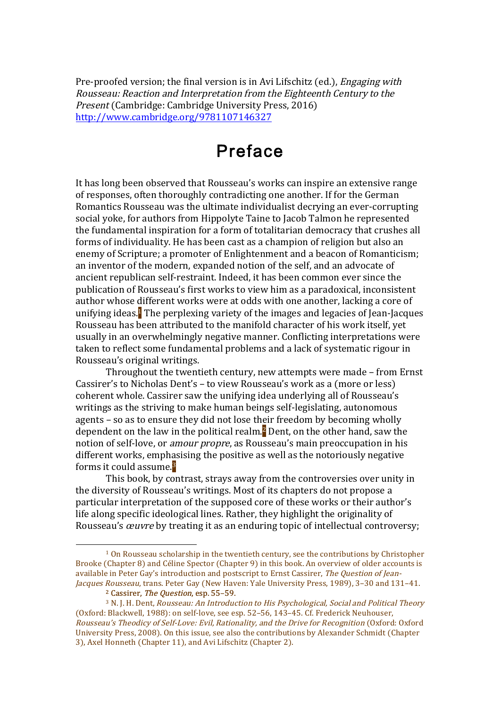Pre-proofed version; the final version is in Avi Lifschitz (ed.), Engaging with Rousseau: Reaction and Interpretation from the Eighteenth Century to the Present (Cambridge: Cambridge University Press, 2016) http://www.cambridge.org/9781107146327

## Preface

It has long been observed that Rousseau's works can inspire an extensive range of responses, often thoroughly contradicting one another. If for the German Romantics Rousseau was the ultimate individualist decrying an ever-corrupting social yoke, for authors from Hippolyte Taine to Jacob Talmon he represented the fundamental inspiration for a form of totalitarian democracy that crushes all forms of individuality. He has been cast as a champion of religion but also an enemy of Scripture; a promoter of Enlightenment and a beacon of Romanticism; an inventor of the modern, expanded notion of the self, and an advocate of ancient republican self-restraint. Indeed, it has been common ever since the publication of Rousseau's first works to view him as a paradoxical, inconsistent author whose different works were at odds with one another, lacking a core of unifying ideas.<sup>1</sup> The perplexing variety of the images and legacies of Jean-Jacques Rousseau has been attributed to the manifold character of his work itself, yet usually in an overwhelmingly negative manner. Conflicting interpretations were taken to reflect some fundamental problems and a lack of systematic rigour in Rousseau's original writings.

Throughout the twentieth century, new attempts were made – from Ernst Cassirer's to Nicholas Dent's – to view Rousseau's work as a (more or less) coherent whole. Cassirer saw the unifying idea underlying all of Rousseau's writings as the striving to make human beings self-legislating, autonomous agents – so as to ensure they did not lose their freedom by becoming wholly dependent on the law in the political realm.<sup>2</sup> Dent, on the other hand, saw the notion of self-love, or amour propre, as Rousseau's main preoccupation in his different works, emphasising the positive as well as the notoriously negative forms it could assume.<sup>3</sup>

This book, by contrast, strays away from the controversies over unity in the diversity of Rousseau's writings. Most of its chapters do not propose a particular interpretation of the supposed core of these works or their author's life along specific ideological lines. Rather, they highlight the originality of Rousseau's *œuvre* by treating it as an enduring topic of intellectual controversy;

<sup>1</sup> On Rousseau scholarship in the twentieth century, see the contributions by Christopher Brooke (Chapter 8) and Céline Spector (Chapter 9) in this book. An overview of older accounts is available in Peter Gay's introduction and postscript to Ernst Cassirer, The Question of Jean-Jacques Rousseau, trans. Peter Gay (New Haven: Yale University Press, 1989), 3–30 and 131–41.

<sup>2</sup> Cassirer, The Question, esp. 55–59.

<sup>3</sup> N. J. H. Dent, Rousseau: An Introduction to His Psychological, Social and Political Theory (Oxford: Blackwell, 1988): on self-love, see esp. 52–56, 143–45. Cf. Frederick Neuhouser, Rousseau's Theodicy of Self-Love: Evil, Rationality, and the Drive for Recognition (Oxford: Oxford University Press, 2008). On this issue, see also the contributions by Alexander Schmidt (Chapter 3), Axel Honneth (Chapter 11), and Avi Lifschitz (Chapter 2).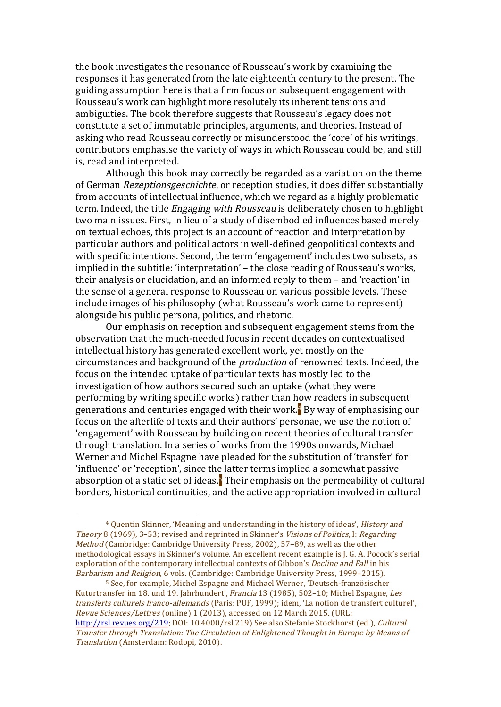the book investigates the resonance of Rousseau's work by examining the responses it has generated from the late eighteenth century to the present. The guiding assumption here is that a firm focus on subsequent engagement with Rousseau's work can highlight more resolutely its inherent tensions and ambiguities. The book therefore suggests that Rousseau's legacy does not constitute a set of immutable principles, arguments, and theories. Instead of asking who read Rousseau correctly or misunderstood the 'core' of his writings, contributors emphasise the variety of ways in which Rousseau could be, and still is, read and interpreted.

Although this book may correctly be regarded as a variation on the theme of German Rezeptionsgeschichte, or reception studies, it does differ substantially from accounts of intellectual influence, which we regard as a highly problematic term. Indeed, the title *Engaging with Rousseau* is deliberately chosen to highlight two main issues. First, in lieu of a study of disembodied influences based merely on textual echoes, this project is an account of reaction and interpretation by particular authors and political actors in well-defined geopolitical contexts and with specific intentions. Second, the term 'engagement' includes two subsets, as implied in the subtitle: 'interpretation' – the close reading of Rousseau's works, their analysis or elucidation, and an informed reply to them – and 'reaction' in the sense of a general response to Rousseau on various possible levels. These include images of his philosophy (what Rousseau's work came to represent) alongside his public persona, politics, and rhetoric.

Our emphasis on reception and subsequent engagement stems from the observation that the much-needed focus in recent decades on contextualised intellectual history has generated excellent work, yet mostly on the circumstances and background of the production of renowned texts. Indeed, the focus on the intended uptake of particular texts has mostly led to the investigation of how authors secured such an uptake (what they were performing by writing specific works) rather than how readers in subsequent generations and centuries engaged with their work. <sup>4</sup> By way of emphasising our focus on the afterlife of texts and their authors' personae, we use the notion of 'engagement' with Rousseau by building on recent theories of cultural transfer through translation. In a series of works from the 1990s onwards, Michael Werner and Michel Espagne have pleaded for the substitution of 'transfer' for 'influence' or 'reception', since the latter terms implied a somewhat passive absorption of a static set of ideas.<sup>5</sup> Their emphasis on the permeability of cultural borders, historical continuities, and the active appropriation involved in cultural

<sup>4</sup> Quentin Skinner, 'Meaning and understanding in the history of ideas', History and Theory 8 (1969), 3-53; revised and reprinted in Skinner's Visions of Politics, I: Regarding Method (Cambridge: Cambridge University Press, 2002), 57–89, as well as the other methodological essays in Skinner's volume. An excellent recent example is J. G. A. Pocock's serial exploration of the contemporary intellectual contexts of Gibbon's Decline and Fall in his Barbarism and Religion, 6 vols. (Cambridge: Cambridge University Press, 1999–2015).

<sup>5</sup> See, for example, Michel Espagne and Michael Werner, 'Deutsch-französischer Kuturtransfer im 18. und 19. Jahrhundert', Francia 13 (1985), 502–10; Michel Espagne, Les transferts culturels franco-allemands (Paris: PUF, 1999); idem, 'La notion de transfert culturel', Revue Sciences/Lettres (online) 1 (2013), accessed on 12 March 2015. (URL: http://rsl.revues.org/219; DOI: 10.4000/rsl.219) See also Stefanie Stockhorst (ed.), Cultural Transfer through Translation: The Circulation of Enlightened Thought in Europe by Means of Translation (Amsterdam: Rodopi, 2010).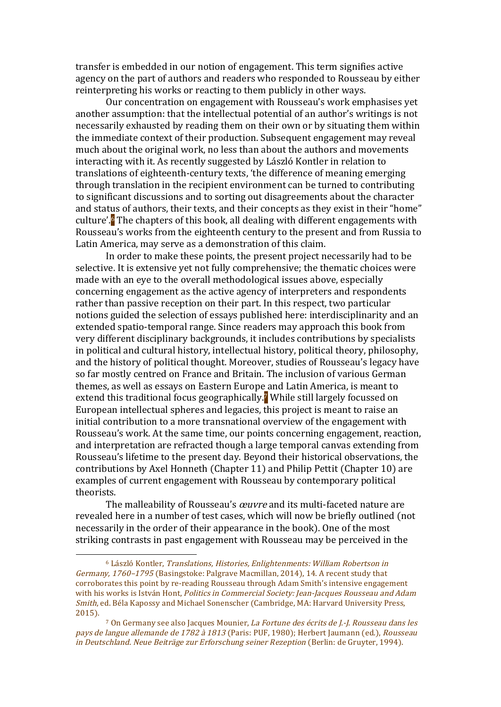transfer is embedded in our notion of engagement. This term signifies active agency on the part of authors and readers who responded to Rousseau by either reinterpreting his works or reacting to them publicly in other ways.

Our concentration on engagement with Rousseau's work emphasises yet another assumption: that the intellectual potential of an author's writings is not necessarily exhausted by reading them on their own or by situating them within the immediate context of their production. Subsequent engagement may reveal much about the original work, no less than about the authors and movements interacting with it. As recently suggested by László Kontler in relation to translations of eighteenth-century texts, 'the difference of meaning emerging through translation in the recipient environment can be turned to contributing to significant discussions and to sorting out disagreements about the character and status of authors, their texts, and their concepts as they exist in their "home" culture'.<sup>6</sup> The chapters of this book, all dealing with different engagements with Rousseau's works from the eighteenth century to the present and from Russia to Latin America, may serve as a demonstration of this claim.

In order to make these points, the present project necessarily had to be selective. It is extensive yet not fully comprehensive; the thematic choices were made with an eye to the overall methodological issues above, especially concerning engagement as the active agency of interpreters and respondents rather than passive reception on their part. In this respect, two particular notions guided the selection of essays published here: interdisciplinarity and an extended spatio-temporal range. Since readers may approach this book from very different disciplinary backgrounds, it includes contributions by specialists in political and cultural history, intellectual history, political theory, philosophy, and the history of political thought. Moreover, studies of Rousseau's legacy have so far mostly centred on France and Britain. The inclusion of various German themes, as well as essays on Eastern Europe and Latin America, is meant to extend this traditional focus geographically.<sup>7</sup> While still largely focussed on European intellectual spheres and legacies, this project is meant to raise an initial contribution to a more transnational overview of the engagement with Rousseau's work. At the same time, our points concerning engagement, reaction, and interpretation are refracted though a large temporal canvas extending from Rousseau's lifetime to the present day. Beyond their historical observations, the contributions by Axel Honneth (Chapter 11) and Philip Pettit (Chapter 10) are examples of current engagement with Rousseau by contemporary political theorists.

The malleability of Rousseau's *œuvre* and its multi-faceted nature are revealed here in a number of test cases, which will now be briefly outlined (not necessarily in the order of their appearance in the book). One of the most striking contrasts in past engagement with Rousseau may be perceived in the

<sup>6</sup> László Kontler, Translations, Histories, Enlightenments: William Robertson in Germany, 1760–1795 (Basingstoke: Palgrave Macmillan, 2014), 14. A recent study that corroborates this point by re-reading Rousseau through Adam Smith's intensive engagement with his works is István Hont, Politics in Commercial Society: Jean-Jacques Rousseau and Adam Smith, ed. Béla Kapossy and Michael Sonenscher (Cambridge, MA: Harvard University Press, 2015).

<sup>7</sup> On Germany see also Jacques Mounier, La Fortune des écrits de J.-J. Rousseau dans les pays de langue allemande de 1782 à 1813 (Paris: PUF, 1980); Herbert Jaumann (ed.), Rousseau in Deutschland. Neue Beiträge zur Erforschung seiner Rezeption (Berlin: de Gruyter, 1994).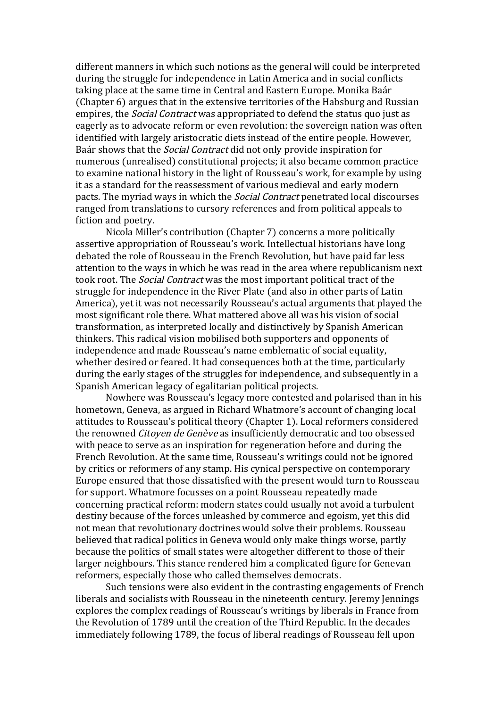different manners in which such notions as the general will could be interpreted during the struggle for independence in Latin America and in social conflicts taking place at the same time in Central and Eastern Europe. Monika Baár (Chapter 6) argues that in the extensive territories of the Habsburg and Russian empires, the Social Contract was appropriated to defend the status quo just as eagerly as to advocate reform or even revolution: the sovereign nation was often identified with largely aristocratic diets instead of the entire people. However, Baár shows that the Social Contract did not only provide inspiration for numerous (unrealised) constitutional projects; it also became common practice to examine national history in the light of Rousseau's work, for example by using it as a standard for the reassessment of various medieval and early modern pacts. The myriad ways in which the Social Contract penetrated local discourses ranged from translations to cursory references and from political appeals to fiction and poetry.

Nicola Miller's contribution (Chapter 7) concerns a more politically assertive appropriation of Rousseau's work. Intellectual historians have long debated the role of Rousseau in the French Revolution, but have paid far less attention to the ways in which he was read in the area where republicanism next took root. The Social Contract was the most important political tract of the struggle for independence in the River Plate (and also in other parts of Latin America), yet it was not necessarily Rousseau's actual arguments that played the most significant role there. What mattered above all was his vision of social transformation, as interpreted locally and distinctively by Spanish American thinkers. This radical vision mobilised both supporters and opponents of independence and made Rousseau's name emblematic of social equality, whether desired or feared. It had consequences both at the time, particularly during the early stages of the struggles for independence, and subsequently in a Spanish American legacy of egalitarian political projects.

Nowhere was Rousseau's legacy more contested and polarised than in his hometown, Geneva, as argued in Richard Whatmore's account of changing local attitudes to Rousseau's political theory (Chapter 1). Local reformers considered the renowned Citoyen de Genève as insufficiently democratic and too obsessed with peace to serve as an inspiration for regeneration before and during the French Revolution. At the same time, Rousseau's writings could not be ignored by critics or reformers of any stamp. His cynical perspective on contemporary Europe ensured that those dissatisfied with the present would turn to Rousseau for support. Whatmore focusses on a point Rousseau repeatedly made concerning practical reform: modern states could usually not avoid a turbulent destiny because of the forces unleashed by commerce and egoism, yet this did not mean that revolutionary doctrines would solve their problems. Rousseau believed that radical politics in Geneva would only make things worse, partly because the politics of small states were altogether different to those of their larger neighbours. This stance rendered him a complicated figure for Genevan reformers, especially those who called themselves democrats.

Such tensions were also evident in the contrasting engagements of French liberals and socialists with Rousseau in the nineteenth century. Jeremy Jennings explores the complex readings of Rousseau's writings by liberals in France from the Revolution of 1789 until the creation of the Third Republic. In the decades immediately following 1789, the focus of liberal readings of Rousseau fell upon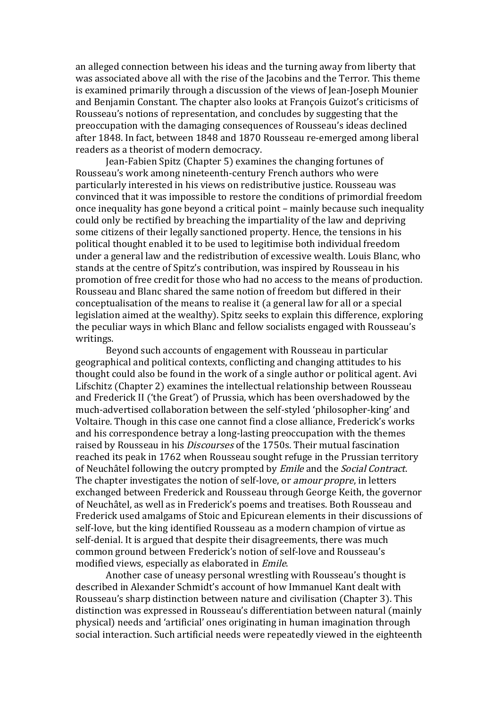an alleged connection between his ideas and the turning away from liberty that was associated above all with the rise of the Jacobins and the Terror. This theme is examined primarily through a discussion of the views of Jean-Joseph Mounier and Benjamin Constant. The chapter also looks at François Guizot's criticisms of Rousseau's notions of representation, and concludes by suggesting that the preoccupation with the damaging consequences of Rousseau's ideas declined after 1848. In fact, between 1848 and 1870 Rousseau re-emerged among liberal readers as a theorist of modern democracy.

Jean-Fabien Spitz (Chapter 5) examines the changing fortunes of Rousseau's work among nineteenth-century French authors who were particularly interested in his views on redistributive justice. Rousseau was convinced that it was impossible to restore the conditions of primordial freedom once inequality has gone beyond a critical point – mainly because such inequality could only be rectified by breaching the impartiality of the law and depriving some citizens of their legally sanctioned property. Hence, the tensions in his political thought enabled it to be used to legitimise both individual freedom under a general law and the redistribution of excessive wealth. Louis Blanc, who stands at the centre of Spitz's contribution, was inspired by Rousseau in his promotion of free credit for those who had no access to the means of production. Rousseau and Blanc shared the same notion of freedom but differed in their conceptualisation of the means to realise it (a general law for all or a special legislation aimed at the wealthy). Spitz seeks to explain this difference, exploring the peculiar ways in which Blanc and fellow socialists engaged with Rousseau's writings.

Beyond such accounts of engagement with Rousseau in particular geographical and political contexts, conflicting and changing attitudes to his thought could also be found in the work of a single author or political agent. Avi Lifschitz (Chapter 2) examines the intellectual relationship between Rousseau and Frederick II ('the Great') of Prussia, which has been overshadowed by the much-advertised collaboration between the self-styled 'philosopher-king' and Voltaire. Though in this case one cannot find a close alliance, Frederick's works and his correspondence betray a long-lasting preoccupation with the themes raised by Rousseau in his Discourses of the 1750s. Their mutual fascination reached its peak in 1762 when Rousseau sought refuge in the Prussian territory of Neuchâtel following the outcry prompted by Emile and the Social Contract. The chapter investigates the notion of self-love, or amour propre, in letters exchanged between Frederick and Rousseau through George Keith, the governor of Neuchâtel, as well as in Frederick's poems and treatises. Both Rousseau and Frederick used amalgams of Stoic and Epicurean elements in their discussions of self-love, but the king identified Rousseau as a modern champion of virtue as self-denial. It is argued that despite their disagreements, there was much common ground between Frederick's notion of self-love and Rousseau's modified views, especially as elaborated in Emile.

Another case of uneasy personal wrestling with Rousseau's thought is described in Alexander Schmidt's account of how Immanuel Kant dealt with Rousseau's sharp distinction between nature and civilisation (Chapter 3). This distinction was expressed in Rousseau's differentiation between natural (mainly physical) needs and 'artificial' ones originating in human imagination through social interaction. Such artificial needs were repeatedly viewed in the eighteenth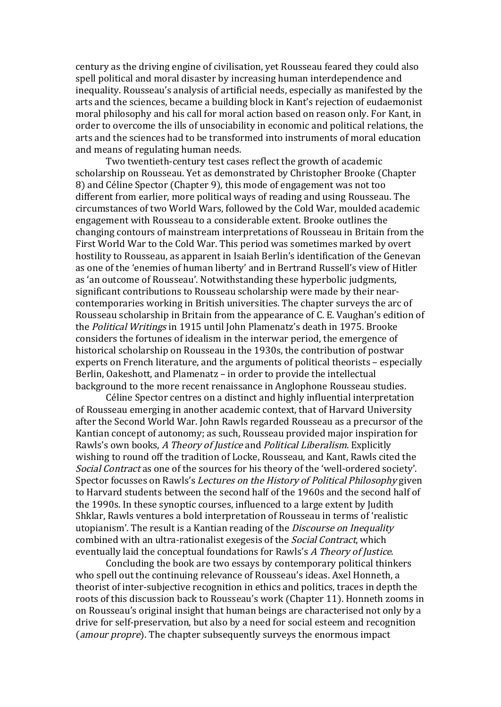century as the driving engine of civilisation, yet Rousseau feared they could also spell political and moral disaster by increasing human interdependence and inequality. Rousseau's analysis of artificial needs, especially as manifested by the arts and the sciences, became a building block in Kant's rejection of eudaemonist moral philosophy and his call for moral action based on reason only. For Kant, in order to overcome the ills of unsociability in economic and political relations, the arts and the sciences had to be transformed into instruments of moral education and means of regulating human needs.

Two twentieth-century test cases reflect the growth of academic scholarship on Rousseau. Yet as demonstrated by Christopher Brooke (Chapter 8) and Céline Spector (Chapter 9), this mode of engagement was not too different from earlier, more political ways of reading and using Rousseau. The circumstances of two World Wars, followed by the Cold War, moulded academic engagement with Rousseau to a considerable extent. Brooke outlines the changing contours of mainstream interpretations of Rousseau in Britain from the First World War to the Cold War. This period was sometimes marked by overt hostility to Rousseau, as apparent in Isaiah Berlin's identification of the Genevan as one of the 'enemies of human liberty' and in Bertrand Russell's view of Hitler as 'an outcome of Rousseau'. Notwithstanding these hyperbolic judgments, significant contributions to Rousseau scholarship were made by their nearcontemporaries working in British universities. The chapter surveys the arc of Rousseau scholarship in Britain from the appearance of C. E. Vaughan's edition of the Political Writings in 1915 until John Plamenatz's death in 1975. Brooke considers the fortunes of idealism in the interwar period, the emergence of historical scholarship on Rousseau in the 1930s, the contribution of postwar experts on French literature, and the arguments of political theorists – especially Berlin, Oakeshott, and Plamenatz – in order to provide the intellectual background to the more recent renaissance in Anglophone Rousseau studies.

Céline Spector centres on a distinct and highly influential interpretation of Rousseau emerging in another academic context, that of Harvard University after the Second World War. John Rawls regarded Rousseau as a precursor of the Kantian concept of autonomy; as such, Rousseau provided major inspiration for Rawls's own books, A Theory of Justice and Political Liberalism. Explicitly wishing to round off the tradition of Locke, Rousseau, and Kant, Rawls cited the Social Contract as one of the sources for his theory of the 'well-ordered society'. Spector focusses on Rawls's Lectures on the History of Political Philosophy given to Harvard students between the second half of the 1960s and the second half of the 1990s. In these synoptic courses, influenced to a large extent by Judith Shklar, Rawls ventures a bold interpretation of Rousseau in terms of 'realistic utopianism'. The result is a Kantian reading of the Discourse on Inequality combined with an ultra-rationalist exegesis of the Social Contract, which eventually laid the conceptual foundations for Rawls's A Theory of Justice.

Concluding the book are two essays by contemporary political thinkers who spell out the continuing relevance of Rousseau's ideas. Axel Honneth, a theorist of inter-subjective recognition in ethics and politics, traces in depth the roots of this discussion back to Rousseau's work (Chapter 11). Honneth zooms in on Rousseau's original insight that human beings are characterised not only by a drive for self-preservation, but also by a need for social esteem and recognition (amour propre). The chapter subsequently surveys the enormous impact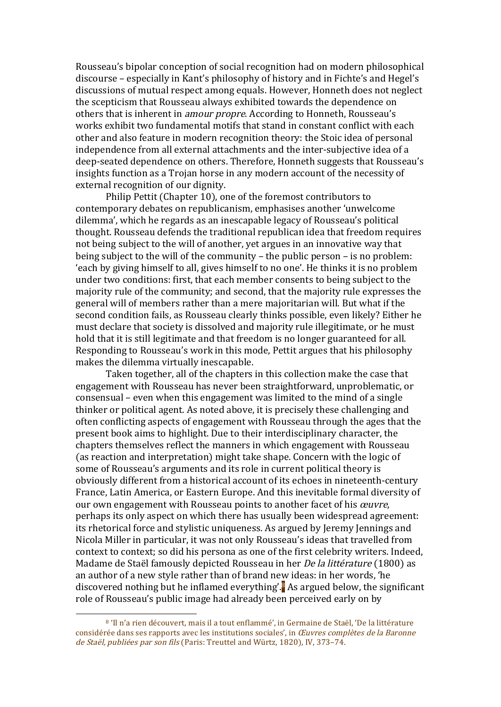Rousseau's bipolar conception of social recognition had on modern philosophical discourse – especially in Kant's philosophy of history and in Fichte's and Hegel's discussions of mutual respect among equals. However, Honneth does not neglect the scepticism that Rousseau always exhibited towards the dependence on others that is inherent in amour propre. According to Honneth, Rousseau's works exhibit two fundamental motifs that stand in constant conflict with each other and also feature in modern recognition theory: the Stoic idea of personal independence from all external attachments and the inter-subjective idea of a deep-seated dependence on others. Therefore, Honneth suggests that Rousseau's insights function as a Trojan horse in any modern account of the necessity of external recognition of our dignity.

Philip Pettit (Chapter 10), one of the foremost contributors to contemporary debates on republicanism, emphasises another 'unwelcome dilemma', which he regards as an inescapable legacy of Rousseau's political thought. Rousseau defends the traditional republican idea that freedom requires not being subject to the will of another, yet argues in an innovative way that being subject to the will of the community – the public person – is no problem: 'each by giving himself to all, gives himself to no one'. He thinks it is no problem under two conditions: first, that each member consents to being subject to the majority rule of the community; and second, that the majority rule expresses the general will of members rather than a mere majoritarian will. But what if the second condition fails, as Rousseau clearly thinks possible, even likely? Either he must declare that society is dissolved and majority rule illegitimate, or he must hold that it is still legitimate and that freedom is no longer guaranteed for all. Responding to Rousseau's work in this mode, Pettit argues that his philosophy makes the dilemma virtually inescapable.

Taken together, all of the chapters in this collection make the case that engagement with Rousseau has never been straightforward, unproblematic, or consensual – even when this engagement was limited to the mind of a single thinker or political agent. As noted above, it is precisely these challenging and often conflicting aspects of engagement with Rousseau through the ages that the present book aims to highlight. Due to their interdisciplinary character, the chapters themselves reflect the manners in which engagement with Rousseau (as reaction and interpretation) might take shape. Concern with the logic of some of Rousseau's arguments and its role in current political theory is obviously different from a historical account of its echoes in nineteenth-century France, Latin America, or Eastern Europe. And this inevitable formal diversity of our own engagement with Rousseau points to another facet of his *œuvre*, perhaps its only aspect on which there has usually been widespread agreement: its rhetorical force and stylistic uniqueness. As argued by Jeremy Jennings and Nicola Miller in particular, it was not only Rousseau's ideas that travelled from context to context; so did his persona as one of the first celebrity writers. Indeed, Madame de Staël famously depicted Rousseau in her De la littérature (1800) as an author of a new style rather than of brand new ideas: in her words, 'he discovered nothing but he inflamed everything'.<sup>8</sup> As argued below, the significant role of Rousseau's public image had already been perceived early on by

<sup>8</sup> 'Il n'a rien découvert, mais il a tout enflammé', in Germaine de Staël, 'De la littérature considérée dans ses rapports avec les institutions sociales', in Œuvres complètes de la Baronne de Staël, publiées par son fils (Paris: Treuttel and Würtz, 1820), IV, 373–74.